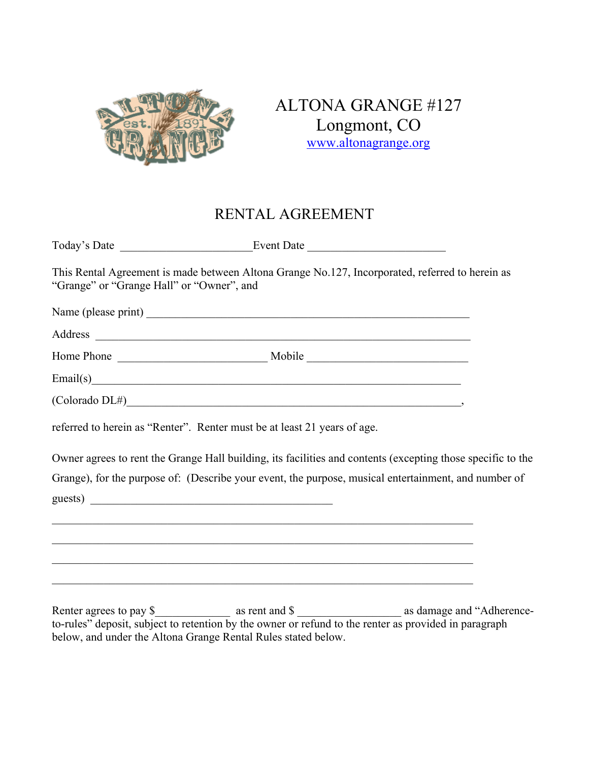

ALTONA GRANGE #127 Longmont, CO www.altonagrange.org

# RENTAL AGREEMENT

| "Grange" or "Grange Hall" or "Owner", and | This Rental Agreement is made between Altona Grange No.127, Incorporated, referred to herein as                                                                                                                                |  |
|-------------------------------------------|--------------------------------------------------------------------------------------------------------------------------------------------------------------------------------------------------------------------------------|--|
|                                           |                                                                                                                                                                                                                                |  |
|                                           | Address and the contract of the contract of the contract of the contract of the contract of the contract of the contract of the contract of the contract of the contract of the contract of the contract of the contract of th |  |
|                                           |                                                                                                                                                                                                                                |  |
|                                           | $\text{Email}(s)$                                                                                                                                                                                                              |  |
|                                           | $\text{(Colorado DL#)}$ ,                                                                                                                                                                                                      |  |
|                                           | referred to herein as "Renter". Renter must be at least 21 years of age.                                                                                                                                                       |  |
|                                           | Owner agrees to rent the Grange Hall building, its facilities and contents (excepting those specific to the                                                                                                                    |  |
|                                           | Grange), for the purpose of: (Describe your event, the purpose, musical entertainment, and number of                                                                                                                           |  |
| guests)                                   |                                                                                                                                                                                                                                |  |
|                                           | ,我们也不能在这里的人,我们也不能在这里的人,我们也不能在这里的人,我们也不能在这里的人,我们也不能在这里的人,我们也不能在这里的人,我们也不能在这里的人,我们也                                                                                                                                              |  |
|                                           |                                                                                                                                                                                                                                |  |
|                                           |                                                                                                                                                                                                                                |  |
|                                           | ,我们也不能在这里的时候,我们也不能在这里的时候,我们也不能会在这里的时候,我们也不能会在这里的时候,我们也不能会在这里的时候,我们也不能会在这里的时候,我们也                                                                                                                                               |  |

Renter agrees to pay \$ \_\_\_\_\_\_\_\_\_\_\_\_\_ as rent and \$ \_\_\_\_\_\_\_\_\_\_\_\_\_\_\_\_\_\_\_\_\_\_ as damage and "Adherenceto-rules" deposit, subject to retention by the owner or refund to the renter as provided in paragraph below, and under the Altona Grange Rental Rules stated below.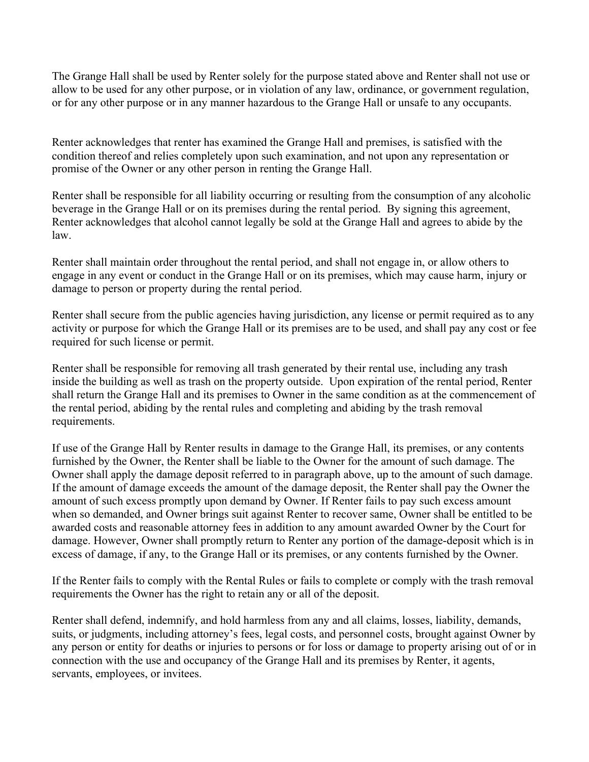The Grange Hall shall be used by Renter solely for the purpose stated above and Renter shall not use or allow to be used for any other purpose, or in violation of any law, ordinance, or government regulation, or for any other purpose or in any manner hazardous to the Grange Hall or unsafe to any occupants.

Renter acknowledges that renter has examined the Grange Hall and premises, is satisfied with the condition thereof and relies completely upon such examination, and not upon any representation or promise of the Owner or any other person in renting the Grange Hall.

Renter shall be responsible for all liability occurring or resulting from the consumption of any alcoholic beverage in the Grange Hall or on its premises during the rental period. By signing this agreement, Renter acknowledges that alcohol cannot legally be sold at the Grange Hall and agrees to abide by the law.

Renter shall maintain order throughout the rental period, and shall not engage in, or allow others to engage in any event or conduct in the Grange Hall or on its premises, which may cause harm, injury or damage to person or property during the rental period.

Renter shall secure from the public agencies having jurisdiction, any license or permit required as to any activity or purpose for which the Grange Hall or its premises are to be used, and shall pay any cost or fee required for such license or permit.

Renter shall be responsible for removing all trash generated by their rental use, including any trash inside the building as well as trash on the property outside. Upon expiration of the rental period, Renter shall return the Grange Hall and its premises to Owner in the same condition as at the commencement of the rental period, abiding by the rental rules and completing and abiding by the trash removal requirements.

If use of the Grange Hall by Renter results in damage to the Grange Hall, its premises, or any contents furnished by the Owner, the Renter shall be liable to the Owner for the amount of such damage. The Owner shall apply the damage deposit referred to in paragraph above, up to the amount of such damage. If the amount of damage exceeds the amount of the damage deposit, the Renter shall pay the Owner the amount of such excess promptly upon demand by Owner. If Renter fails to pay such excess amount when so demanded, and Owner brings suit against Renter to recover same, Owner shall be entitled to be awarded costs and reasonable attorney fees in addition to any amount awarded Owner by the Court for damage. However, Owner shall promptly return to Renter any portion of the damage-deposit which is in excess of damage, if any, to the Grange Hall or its premises, or any contents furnished by the Owner.

If the Renter fails to comply with the Rental Rules or fails to complete or comply with the trash removal requirements the Owner has the right to retain any or all of the deposit.

Renter shall defend, indemnify, and hold harmless from any and all claims, losses, liability, demands, suits, or judgments, including attorney's fees, legal costs, and personnel costs, brought against Owner by any person or entity for deaths or injuries to persons or for loss or damage to property arising out of or in connection with the use and occupancy of the Grange Hall and its premises by Renter, it agents, servants, employees, or invitees.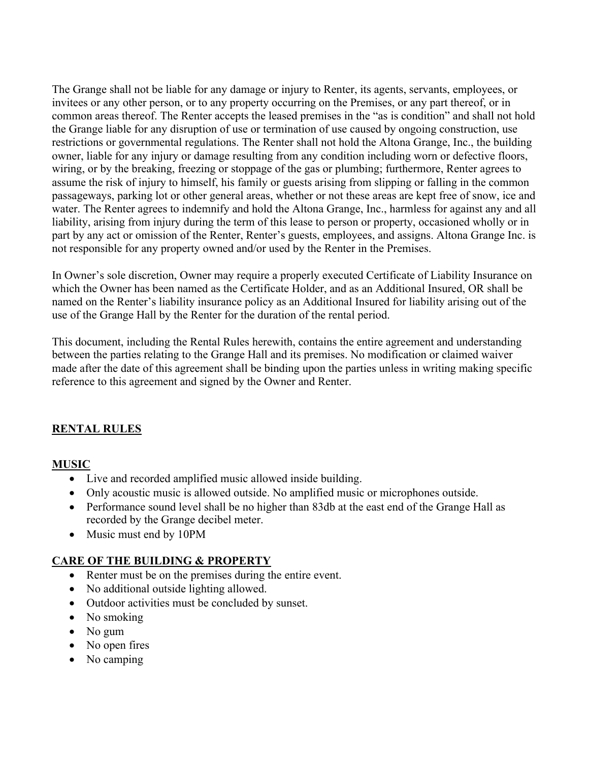The Grange shall not be liable for any damage or injury to Renter, its agents, servants, employees, or invitees or any other person, or to any property occurring on the Premises, or any part thereof, or in common areas thereof. The Renter accepts the leased premises in the "as is condition" and shall not hold the Grange liable for any disruption of use or termination of use caused by ongoing construction, use restrictions or governmental regulations. The Renter shall not hold the Altona Grange, Inc., the building owner, liable for any injury or damage resulting from any condition including worn or defective floors, wiring, or by the breaking, freezing or stoppage of the gas or plumbing; furthermore, Renter agrees to assume the risk of injury to himself, his family or guests arising from slipping or falling in the common passageways, parking lot or other general areas, whether or not these areas are kept free of snow, ice and water. The Renter agrees to indemnify and hold the Altona Grange, Inc., harmless for against any and all liability, arising from injury during the term of this lease to person or property, occasioned wholly or in part by any act or omission of the Renter, Renter's guests, employees, and assigns. Altona Grange Inc. is not responsible for any property owned and/or used by the Renter in the Premises.

In Owner's sole discretion, Owner may require a properly executed Certificate of Liability Insurance on which the Owner has been named as the Certificate Holder, and as an Additional Insured, OR shall be named on the Renter's liability insurance policy as an Additional Insured for liability arising out of the use of the Grange Hall by the Renter for the duration of the rental period.

This document, including the Rental Rules herewith, contains the entire agreement and understanding between the parties relating to the Grange Hall and its premises. No modification or claimed waiver made after the date of this agreement shall be binding upon the parties unless in writing making specific reference to this agreement and signed by the Owner and Renter.

# **RENTAL RULES**

## **MUSIC**

- Live and recorded amplified music allowed inside building.
- Only acoustic music is allowed outside. No amplified music or microphones outside.
- Performance sound level shall be no higher than 83db at the east end of the Grange Hall as recorded by the Grange decibel meter.
- Music must end by 10PM

# **CARE OF THE BUILDING & PROPERTY**

- Renter must be on the premises during the entire event.
- No additional outside lighting allowed.
- Outdoor activities must be concluded by sunset.
- No smoking
- No gum
- No open fires
- No camping